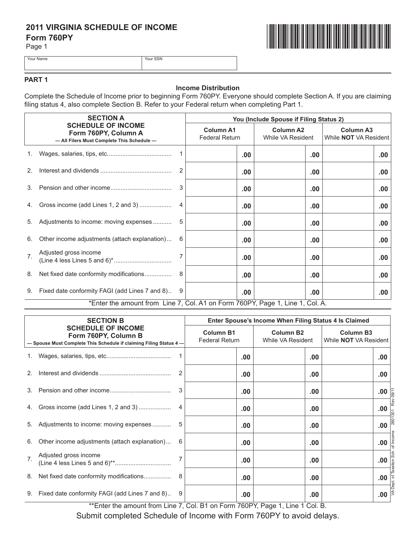# **2011 VIRGINIA SCHEDULE OF INCOME Form 760PY**

Page 1



Your Name Your SSN

## **PART 1**

### **Income Distribution**

Complete the Schedule of Income prior to beginning Form 760PY. Everyone should complete Section A. If you are claiming filing status 4, also complete Section B. Refer to your Federal return when completing Part 1.

|                  | <b>SECTION A</b><br><b>SCHEDULE OF INCOME</b><br>Form 760PY, Column A<br>- All Filers Must Complete This Schedule - |    | You (Include Spouse if Filing Status 2)   |                                       |                                                  |  |
|------------------|---------------------------------------------------------------------------------------------------------------------|----|-------------------------------------------|---------------------------------------|--------------------------------------------------|--|
|                  |                                                                                                                     |    | <b>Column A1</b><br><b>Federal Return</b> | <b>Column A2</b><br>While VA Resident | <b>Column A3</b><br>While <b>NOT</b> VA Resident |  |
|                  |                                                                                                                     |    | .00.                                      | $.00 \,$                              | .00                                              |  |
| 2.               |                                                                                                                     |    | .00                                       | .00                                   | .00                                              |  |
| 3.               |                                                                                                                     | 3  | .00                                       | .00                                   | .00                                              |  |
|                  | 4. Gross income (add Lines 1, 2 and 3)                                                                              |    | .00                                       | .00                                   | .00                                              |  |
|                  | 5. Adjustments to income: moving expenses                                                                           | -5 | .00                                       | $.00 \,$                              | .00                                              |  |
| 6.               | Other income adjustments (attach explanation)                                                                       | 6  | .00                                       | .00                                   | .00.                                             |  |
| $\overline{7}$ . | Adjusted gross income                                                                                               |    | .00                                       | .00                                   | .00                                              |  |
|                  |                                                                                                                     |    | .00                                       | $.00 \,$                              | .00                                              |  |
|                  | 9. Fixed date conformity FAGI (add Lines 7 and 8) 9                                                                 |    | .00.                                      | $.00 \,$                              | .00.                                             |  |
|                  | *Enter the amount from Line 7, Col. A1 on Form 760PY, Page 1, Line 1, Col. A.                                       |    |                                           |                                       |                                                  |  |

| <b>SECTION B</b><br><b>SCHEDULE OF INCOME</b><br>Form 760PY, Column B<br>- Spouse Must Complete This Schedule if claiming Filing Status 4- |                                                   | Enter Spouse's Income When Filing Status 4 Is Claimed |                                       |                                                  |      |
|--------------------------------------------------------------------------------------------------------------------------------------------|---------------------------------------------------|-------------------------------------------------------|---------------------------------------|--------------------------------------------------|------|
|                                                                                                                                            |                                                   | <b>Column B1</b><br><b>Federal Return</b>             | <b>Column B2</b><br>While VA Resident | <b>Column B3</b><br>While <b>NOT</b> VA Resident |      |
|                                                                                                                                            |                                                   |                                                       | .00                                   | .00                                              | .00  |
| 2                                                                                                                                          |                                                   |                                                       | .00                                   | .00                                              | .00  |
| 3 <sub>1</sub>                                                                                                                             |                                                   |                                                       | .00                                   | .00                                              | .00  |
| 4.                                                                                                                                         | Gross income (add Lines 1, 2 and 3)               | 4                                                     | .00                                   | .00                                              | .00  |
| 5.                                                                                                                                         | Adjustments to income: moving expenses            | 5                                                     | .00                                   | .00                                              | .00. |
| 6.                                                                                                                                         | Other income adjustments (attach explanation)     | 6                                                     | .00                                   | .00                                              | .00  |
| 7 <sup>1</sup>                                                                                                                             | Adjusted gross income                             | 7                                                     | $.00 \,$                              | .00                                              | .00  |
| 8.                                                                                                                                         | Net fixed date conformity modifications           | 8                                                     | .00                                   | .00                                              | .00  |
|                                                                                                                                            | 9. Fixed date conformity FAGI (add Lines 7 and 8) | 9                                                     | .00                                   | .00                                              | .00  |

\*\*Enter the amount from Line 7, Col. B1 on Form 760PY, Page 1, Line 1 Col. B.

Submit completed Schedule of Income with Form 760PY to avoid delays.